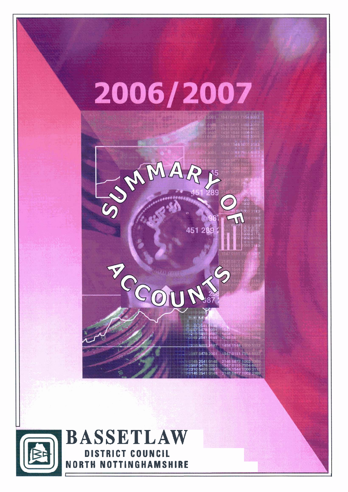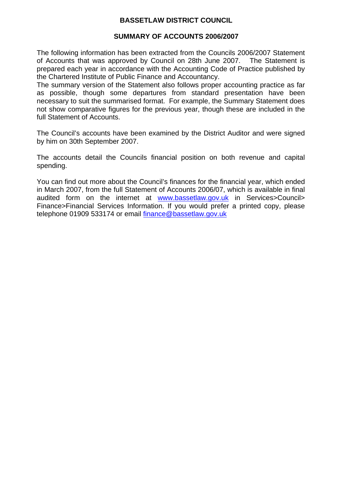# **BASSETLAW DISTRICT COUNCIL**

### **SUMMARY OF ACCOUNTS 2006/2007**

The following information has been extracted from the Councils 2006/2007 Statement of Accounts that was approved by Council on 28th June 2007. The Statement is prepared each year in accordance with the Accounting Code of Practice published by the Chartered Institute of Public Finance and Accountancy.

The summary version of the Statement also follows proper accounting practice as far as possible, though some departures from standard presentation have been necessary to suit the summarised format. For example, the Summary Statement does not show comparative figures for the previous year, though these are included in the full Statement of Accounts.

The Council's accounts have been examined by the District Auditor and were signed by him on 30th September 2007.

The accounts detail the Councils financial position on both revenue and capital spending.

You can find out more about the Council's finances for the financial year, which ended in March 2007, from the full Statement of Accounts 2006/07, which is available in final audited form on the internet at [www.bassetlaw.gov.uk](http://www.bassetlaw.gov.uk/) in Services>Council> Finance>Financial Services Information. If you would prefer a printed copy, please telephone 01909 533174 or email [finance@bassetlaw.gov.uk](mailto:finance@bassetlaw.gov.uk)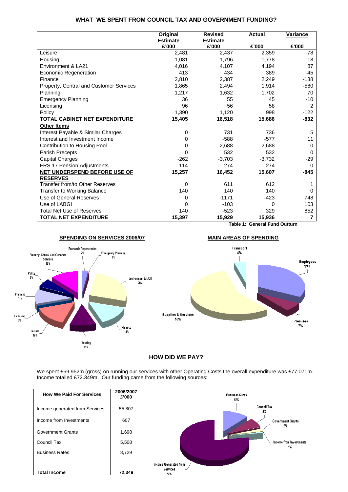#### **WHAT WE SPENT FROM COUNCIL TAX AND GOVERNMENT FUNDING?**

|                                         | Original        | <b>Revised</b>  | <b>Actual</b> | Variance      |
|-----------------------------------------|-----------------|-----------------|---------------|---------------|
|                                         | <b>Estimate</b> | <b>Estimate</b> |               |               |
|                                         | £'000           | £'000           | £'000         | £'000         |
| Leisure                                 | 2,481           | 2,437           | 2,359         | $-78$         |
| Housing                                 | 1,081           | 1,796           | 1,778         | -18           |
| Environment & LA21                      | 4,016           | 4.107           | 4,194         | 87            |
| Economic Regeneration                   | 413             | 434             | 389           | $-45$         |
| Finance                                 | 2,810           | 2,387           | 2,249         | $-138$        |
| Property, Central and Customer Services | 1,865           | 2,494           | 1,914         | $-580$        |
| Planning                                | 1,217           | 1,632           | 1,702         | 70            |
| <b>Emergency Planning</b>               | 36              | 55              | 45            | $-10$         |
| Licensing                               | 96              | 56              | 58            | $\mathcal{P}$ |
| Policy                                  | 1,390           | 1,120           | 998           | $-122$        |
| <b>TOTAL CABINET NET EXPENDITURE</b>    | 15,405          | 16,518          | 15,686        | $-832$        |
| <b>Other Items</b>                      |                 |                 |               |               |
| Interest Payable & Similar Charges      | 0               | 731             | 736           | 5             |
| Interest and Investment Income          | 0               | $-588$          | $-577$        | 11            |
| Contribution to Housing Pool            | 0               | 2,688           | 2,688         | $\Omega$      |
| Parish Precepts                         | 0               | 532             | 532           | $\Omega$      |
| <b>Capital Charges</b>                  | $-262$          | $-3,703$        | $-3,732$      | $-29$         |
| FRS 17 Pension Adjustments              | 114             | 274             | 274           | $\Omega$      |
| <b>NET UNDERSPEND BEFORE USE OF</b>     | 15,257          | 16,452          | 15,607        | $-845$        |
| <b>RESERVES</b>                         |                 |                 |               |               |
| Transfer from/to Other Reserves         | 0               | 611             | 612           |               |
| <b>Transfer to Working Balance</b>      | 140             | 140             | 140           | $\Omega$      |
| Use of General Reserves                 | 0               | $-1171$         | $-423$        | 748           |
| Use of LABGI                            | 0               | $-103$          | 0             | 103           |
| <b>Total Net Use of Reserves</b>        | 140             | $-523$          | 329           | 852           |
| <b>TOTAL NET EXPENDITURE</b>            | 15,397          | 15,929          | 15,936        | 7             |

**Table 1: General Fund Outturn**



### **HOW DID WE PAY?**

We spent £69.952m (gross) on running our services with other Operating Costs the overall expenditure was £77.071m. Income totalled £72.349m. Our funding came from the following sources:

| <b>How We Paid For Services</b> | 2006/2007<br>£'000 | <b>Business Rates</b><br>12%   |
|---------------------------------|--------------------|--------------------------------|
| Income generated from Services  | 55,807             | Council Tax<br>8%              |
| Income from Investments         | 607                | <b>Government Grants</b><br>2% |
| <b>Government Grants</b>        | 1,698              |                                |
| Council Tax                     | 5,508              | Income from Investments        |
| <b>Business Rates</b>           | 8,729              | 1%                             |
|                                 |                    | Income Generated from          |
| <b>Total Income</b>             | 72,349             | <b>Services</b><br>77%         |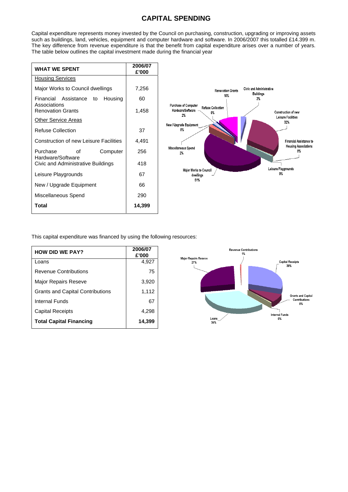## **CAPITAL SPENDING**

Capital expenditure represents money invested by the Council on purchasing, construction, upgrading or improving assets such as buildings, land, vehicles, equipment and computer hardware and software. In 2006/2007 this totalled £14.399 m. The key difference from revenue expenditure is that the benefit from capital expenditure arises over a number of years. The table below outlines the capital investment made during the financial year

| <b>WHAT WE SPENT</b>                                                              | 2006/07<br>£'000 |
|-----------------------------------------------------------------------------------|------------------|
| <b>Housing Services</b>                                                           |                  |
| Major Works to Council dwellings                                                  | 7,256            |
| Financial Assistance<br>Housing<br>to<br>Associations<br><b>Renovation Grants</b> | 60<br>1,458      |
| <b>Other Service Areas</b>                                                        |                  |
| <b>Refuse Collection</b>                                                          | 37               |
| <b>Construction of new Leisure Facilities</b>                                     | 4,491            |
| Purchase<br>Computer<br>Ωf<br>Hardware/Software                                   | 256              |
| Civic and Administrative Buildings                                                | 418              |
| Leisure Playgrounds                                                               | 67               |
| New / Upgrade Equipment                                                           | 66               |
| Miscellaneous Spend                                                               | 290              |
| <b>Total</b>                                                                      | 14,399           |



This capital expenditure was financed by using the following resources:

| <b>HOW DID WE PAY?</b>                  | 2006/07<br>£'000 |
|-----------------------------------------|------------------|
| Loans                                   | 4,927            |
| Revenue Contributions                   | 75               |
| <b>Major Repairs Reseve</b>             | 3,920            |
| <b>Grants and Capital Contributions</b> | 1,112            |
| Internal Funds                          | 67               |
| <b>Capital Receipts</b>                 | 4,298            |
| <b>Total Capital Financing</b>          | 14,399           |

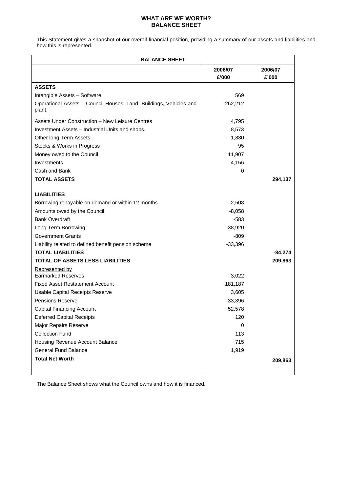#### **WHAT ARE WE WORTH? BALANCE SHEET**

This Statement gives a snapshot of our overall financial position, providing a summary of our assets and liabilities and how this is represented..

| <b>BALANCE SHEET</b>                                                         |           |           |  |  |
|------------------------------------------------------------------------------|-----------|-----------|--|--|
|                                                                              | 2006/07   | 2006/07   |  |  |
|                                                                              | £'000     | £'000     |  |  |
| <b>ASSETS</b>                                                                |           |           |  |  |
| Intangible Assets - Software                                                 | 569       |           |  |  |
| Operational Assets - Council Houses, Land, Buildings, Vehicles and<br>plant, | 262,212   |           |  |  |
| Assets Under Construction - New Leisure Centres                              | 4,795     |           |  |  |
| Investment Assets - Industrial Units and shops.                              | 8,573     |           |  |  |
| Other long Term Assets                                                       | 1,830     |           |  |  |
| Stocks & Works in Progress                                                   | 95        |           |  |  |
| Money owed to the Council                                                    | 11,907    |           |  |  |
| Investments                                                                  | 4,156     |           |  |  |
| Cash and Bank                                                                | 0         |           |  |  |
| <b>TOTAL ASSETS</b>                                                          |           | 294,137   |  |  |
| <b>LIABILITIES</b>                                                           |           |           |  |  |
| Borrowing repayable on demand or within 12 months                            | $-2,508$  |           |  |  |
| Amounts owed by the Council                                                  | $-8,058$  |           |  |  |
| <b>Bank Overdraft</b>                                                        | $-583$    |           |  |  |
| Long Term Borrowing                                                          | $-38,920$ |           |  |  |
| <b>Government Grants</b>                                                     | $-809$    |           |  |  |
| Liability related to defined benefit pension scheme                          | $-33,396$ |           |  |  |
| <b>TOTAL LIABILITIES</b>                                                     |           | $-84,274$ |  |  |
| TOTAL OF ASSETS LESS LIABILITIES                                             |           | 209,863   |  |  |
| Represented by                                                               |           |           |  |  |
| <b>Earmarked Reserves</b>                                                    | 3,022     |           |  |  |
| <b>Fixed Asset Restatement Account</b>                                       | 181,187   |           |  |  |
| <b>Usable Capital Receipts Reserve</b>                                       | 3,605     |           |  |  |
| <b>Pensions Reserve</b>                                                      | $-33,396$ |           |  |  |
| <b>Capital Financing Account</b>                                             | 52,578    |           |  |  |
| <b>Deferred Capital Receipts</b>                                             | 120       |           |  |  |
| Major Repairs Reserve                                                        | 0         |           |  |  |
| <b>Collection Fund</b>                                                       | 113       |           |  |  |
| Housing Revenue Account Balance                                              | 715       |           |  |  |
| <b>General Fund Balance</b>                                                  | 1,919     |           |  |  |
| <b>Total Net Worth</b>                                                       |           | 209,863   |  |  |
|                                                                              |           |           |  |  |

The Balance Sheet shows what the Council owns and how it is financed.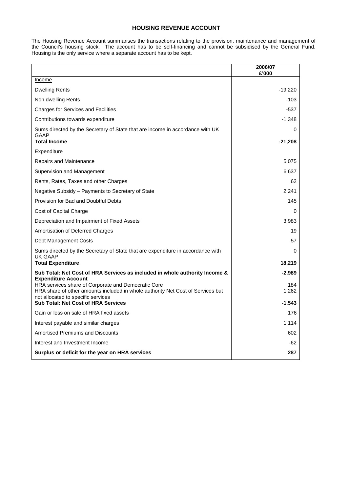#### **HOUSING REVENUE ACCOUNT**

The Housing Revenue Account summarises the transactions relating to the provision, maintenance and management of the Council's housing stock. The account has to be self-financing and cannot be subsidised by the General Fund. Housing is the only service where a separate account has to be kept.

|                                                                                                                                                                                                                                                          | 2006/07<br>£'000         |
|----------------------------------------------------------------------------------------------------------------------------------------------------------------------------------------------------------------------------------------------------------|--------------------------|
| Income                                                                                                                                                                                                                                                   |                          |
| <b>Dwelling Rents</b>                                                                                                                                                                                                                                    | $-19,220$                |
| Non dwelling Rents                                                                                                                                                                                                                                       | $-103$                   |
| <b>Charges for Services and Facilities</b>                                                                                                                                                                                                               | $-537$                   |
| Contributions towards expenditure                                                                                                                                                                                                                        | $-1,348$                 |
| Sums directed by the Secretary of State that are income in accordance with UK<br>GAAP<br><b>Total Income</b>                                                                                                                                             | 0<br>$-21,208$           |
| <b>Expenditure</b>                                                                                                                                                                                                                                       |                          |
| Repairs and Maintenance                                                                                                                                                                                                                                  | 5,075                    |
| Supervision and Management                                                                                                                                                                                                                               | 6,637                    |
| Rents, Rates, Taxes and other Charges                                                                                                                                                                                                                    | 62                       |
| Negative Subsidy - Payments to Secretary of State                                                                                                                                                                                                        | 2,241                    |
| Provision for Bad and Doubtful Debts                                                                                                                                                                                                                     | 145                      |
| Cost of Capital Charge                                                                                                                                                                                                                                   | 0                        |
| Depreciation and Impairment of Fixed Assets                                                                                                                                                                                                              | 3,983                    |
| Amortisation of Deferred Charges                                                                                                                                                                                                                         | 19                       |
| Debt Management Costs                                                                                                                                                                                                                                    | 57                       |
| Sums directed by the Secretary of State that are expenditure in accordance with<br><b>UK GAAP</b><br><b>Total Expenditure</b>                                                                                                                            | 0<br>18,219              |
| Sub Total: Net Cost of HRA Services as included in whole authority Income &                                                                                                                                                                              | $-2,989$                 |
| <b>Expenditure Account</b><br>HRA services share of Corporate and Democratic Core<br>HRA share of other amounts included in whole authority Net Cost of Services but<br>not allocated to specific services<br><b>Sub Total: Net Cost of HRA Services</b> | 184<br>1,262<br>$-1,543$ |
| Gain or loss on sale of HRA fixed assets                                                                                                                                                                                                                 | 176                      |
| Interest payable and similar charges                                                                                                                                                                                                                     | 1.114                    |
| <b>Amortised Premiums and Discounts</b>                                                                                                                                                                                                                  | 602                      |
| Interest and Investment Income                                                                                                                                                                                                                           | $-62$                    |
| Surplus or deficit for the year on HRA services                                                                                                                                                                                                          | 287                      |
|                                                                                                                                                                                                                                                          |                          |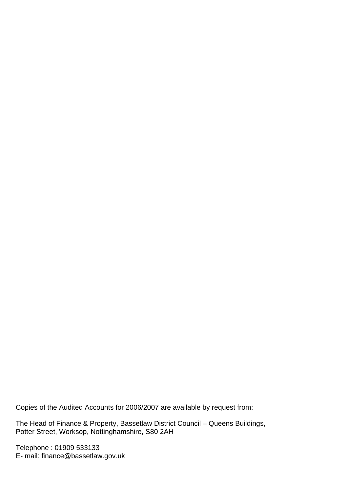Copies of the Audited Accounts for 2006/2007 are available by request from:

The Head of Finance & Property, Bassetlaw District Council – Queens Buildings, Potter Street, Worksop, Nottinghamshire, S80 2AH

Telephone : 01909 533133 E- mail: finance@bassetlaw.gov.uk